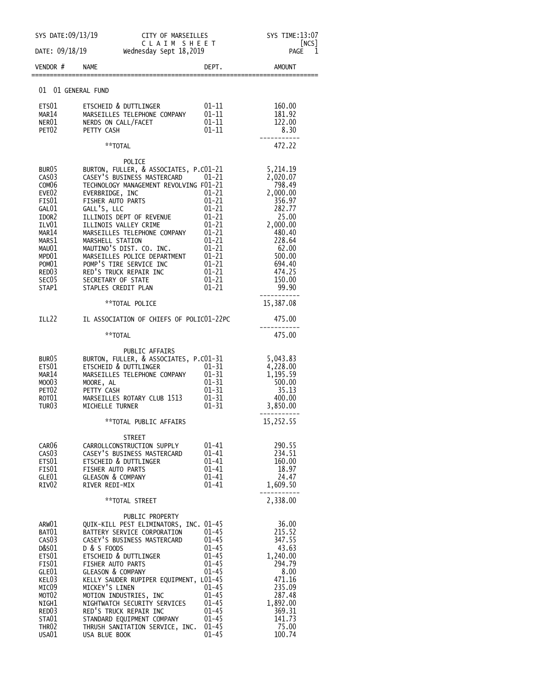|                                                      | SYS DATE:09/13/19<br>CITY OF MARSEILLES                                                                                             |                         | SYS TIME: 13:07              |
|------------------------------------------------------|-------------------------------------------------------------------------------------------------------------------------------------|-------------------------|------------------------------|
| CLAIM SHEET<br>DATE: 09/18/19 Wednesday Sept 18,2019 |                                                                                                                                     | NCS<br>1<br><b>PAGE</b> |                              |
| VENDOR #                                             | NAME                                                                                                                                | DEPT.                   | AMOUNT                       |
|                                                      | 01 01 GENERAL FUND                                                                                                                  |                         |                              |
| ETS01                                                | ETSCHEID & DUTTLINGER                                                                                                               | $01 - 11$               | 160.00                       |
| MAR14                                                | MARSEILLES TELEPHONE COMPANY                                                                                                        | $01 - 11$               | 181.92                       |
| NER01<br>PET <sub>02</sub>                           | NERDS ON CALL/FACET<br>PETTY CASH                                                                                                   | $01 - 11$<br>$01 - 11$  | 122.00<br>8.30               |
|                                                      |                                                                                                                                     |                         |                              |
|                                                      | **TOTAL                                                                                                                             |                         | 472.22                       |
| BUR05                                                | POLICE<br>BURTON, FULLER, & ASSOCIATES, P.CO1-21                                                                                    |                         | 5,214.19                     |
| CAS <sub>0</sub> 3                                   | CASEY'S BUSINESS MASTERCARD 01-21                                                                                                   |                         | 2,020.07                     |
| COM <sub>06</sub>                                    | TECHNOLOGY MANAGEMENT REVOLVING F01-21                                                                                              |                         | 798.49                       |
| EVE <sub>02</sub>                                    | EVERBRIDGE, INC                                                                                                                     | $01 - 21$               | 2,000.00                     |
| FIS01                                                | FISHER AUTO PARTS                                                                                                                   | $01-21$<br>01-21        | 356.97                       |
| GAL01                                                | GALL'S, LLC                                                                                                                         | $01 - 21$               | 282.77                       |
| IDOR2                                                | ILLINOIS DEPT OF REVENUE                                                                                                            | $01 - 21$               | 25.00                        |
| ILV01<br>MAR14                                       | ILLINOIS VALLEY CRIME<br>MARSEILLES TELEPHONE COMPANY                                                                               | $01-21$<br>$01-21$      | 2,000.00<br>480.40           |
| MARS1                                                | MARSHELL STATION                                                                                                                    | $01 - 21$               | 228.64                       |
| MAU01                                                | MAUTINO'S DIST. CO. INC.                                                                                                            | $01 - 21$               | 62.00                        |
| MPD01                                                |                                                                                                                                     |                         | 500.00                       |
| POM01                                                |                                                                                                                                     | $01-21$<br>$01-21$      | 694.40                       |
| RED03                                                | MAUTINO'S DIST. CO. INC.<br>MARSEILLES POLICE DEPARTMENT<br>POMP'S TIRE SERVICE INC<br>RED'S TRUCK REPAIR INC<br>CECRETARY OF STATE | $01-21$<br>$01-21$      | 474.25                       |
| SEC05                                                | SECRETARY OF STATE                                                                                                                  |                         | 150.00                       |
| STAP1                                                | STAPLES CREDIT PLAN                                                                                                                 | $01 - 21$               | 99.90<br>. _ _ _ _ _ _ _ _ _ |
|                                                      | **TOTAL POLICE                                                                                                                      |                         | 15,387.08                    |
| ILL22                                                | IL ASSOCIATION OF CHIEFS OF POLIC01-22PC                                                                                            |                         | 475.00                       |
|                                                      | **TOTAL                                                                                                                             |                         | 475.00                       |
|                                                      | PUBLIC AFFAIRS                                                                                                                      |                         |                              |
| BUR05                                                |                                                                                                                                     |                         | 5,043.83                     |
| ETS01                                                |                                                                                                                                     |                         | 4,228.00                     |
| MAR14                                                |                                                                                                                                     |                         | 1,195.59                     |
| MOO03<br>PET02                                       |                                                                                                                                     |                         | 500.00<br>35.13              |
| ROT <sub>01</sub>                                    | MARSEILLES ROTARY CLUB 1513                                                                                                         | $01 - 31$               | 400.00                       |
| TUR03                                                | MICHELLE TURNER                                                                                                                     | $01 - 31$               | 3,850.00                     |
|                                                      | **TOTAL PUBLIC AFFAIRS                                                                                                              |                         | 15,252.55                    |
|                                                      | <b>STREET</b>                                                                                                                       |                         |                              |
| CAR06                                                | CARROLLCONSTRUCTION SUPPLY                                                                                                          | 01-41                   | 290.55                       |
| CAS <sub>03</sub>                                    | CASEY'S BUSINESS MASTERCARD                                                                                                         | $01 - 41$               | 234.51                       |
| ETS01                                                | ETSCHEID & DUTTLINGER                                                                                                               | $01 - 41$               | 160.00                       |
| FIS01<br>GLE01                                       | FISHER AUTO PARTS<br><b>GLEASON &amp; COMPANY</b>                                                                                   | $01 - 41$<br>01-41      | 18.97<br>24.47               |
| RIV <sub>02</sub>                                    | RIVER REDI-MIX                                                                                                                      | $01 - 41$               | 1,609.50                     |
|                                                      | **TOTAL STREET                                                                                                                      |                         | 2,338.00                     |
|                                                      |                                                                                                                                     |                         |                              |
| ARW01                                                | PUBLIC PROPERTY<br>QUIK-KILL PEST ELIMINATORS, INC. 01-45                                                                           |                         | 36.00                        |
| BAT <sub>01</sub>                                    | BATTERY SERVICE CORPORATION                                                                                                         | 01-45                   | 215.52                       |
| CAS <sub>03</sub>                                    | CASEY'S BUSINESS MASTERCARD                                                                                                         | $01 - 45$               | 347.55                       |
| D&S01                                                | D & S FOODS                                                                                                                         | $01 - 45$               | 43.63                        |
| ETS01                                                | ETSCHEID & DUTTLINGER                                                                                                               | $01 - 45$               | 1,240.00                     |
| FIS01                                                | FISHER AUTO PARTS                                                                                                                   | $01 - 45$               | 294.79                       |
| GLE01<br>KEL03                                       | <b>GLEASON &amp; COMPANY</b>                                                                                                        | $01 - 45$               | 8.00<br>471.16               |
| MIC09                                                | KELLY SAUDER RUPIPER EQUIPMENT, L01-45<br>MICKEY'S LINEN                                                                            | $01 - 45$               | 235.09                       |
| MOT <sub>02</sub>                                    | MOTION INDUSTRIES, INC                                                                                                              | $01 - 45$               | 287.48                       |
| NIGH1                                                | NIGHTWATCH SECURITY SERVICES                                                                                                        | $01 - 45$               | 1,892.00                     |
| RED <sub>03</sub>                                    | RED'S TRUCK REPAIR INC                                                                                                              | $01 - 45$               | 369.31                       |
| STA01                                                | STANDARD EQUIPMENT COMPANY                                                                                                          | $01 - 45$               | 141.73                       |
| THR <sub>02</sub><br>USA01                           | THRUSH SANITATION SERVICE, INC.                                                                                                     | $01 - 45$<br>$01 - 45$  | 75.00<br>100.74              |
|                                                      | USA BLUE BOOK                                                                                                                       |                         |                              |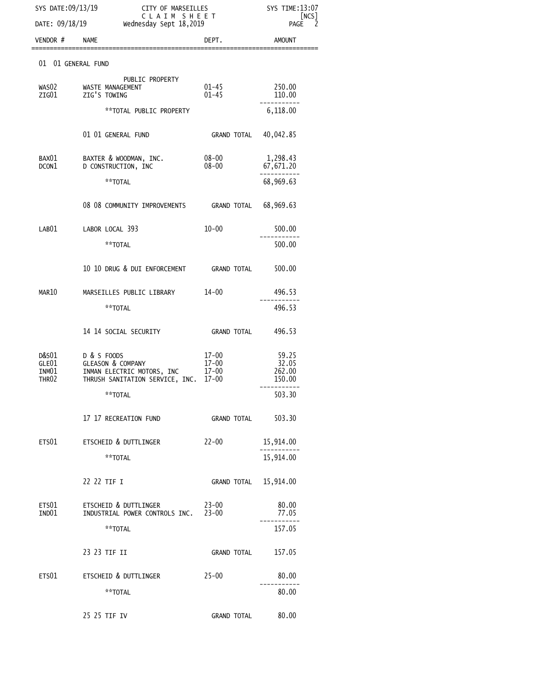|                | SYS DATE:09/13/19<br>DATE: 09/18/19 Wednesday Sept 18,2019                                                        | CITY OF MARSEILLES<br>CLAIM SHEET |                          |
|----------------|-------------------------------------------------------------------------------------------------------------------|-----------------------------------|--------------------------|
| VENDOR # NAME  |                                                                                                                   | DEPT.                             | AMOUNT                   |
|                | 01 01 GENERAL FUND                                                                                                |                                   |                          |
| ZIG01          | PUBLIC PROPERTY<br>WASO2 WASTE MANAGEMENT<br>ZIG'S TOWING                                                         | $01 - 45$<br>$01 - 45$            | 250.00<br>110.00         |
|                | **TOTAL PUBLIC PROPERTY                                                                                           |                                   | 6,118.00                 |
|                | 01 01 GENERAL FUND                                                                                                | GRAND TOTAL 40,042.85             |                          |
| BAX01<br>DCON1 | BAXTER & WOODMAN, INC.<br>D CONSTRUCTION, INC                                                                     | 08-00<br>$08 - 00$                | 1,298.43<br>67,671.20    |
|                | **TOTAL                                                                                                           |                                   | 68,969.63                |
|                | 08 08 COMMUNITY IMPROVEMENTS GRAND TOTAL 68,969.63                                                                |                                   |                          |
| LAB01          | LABOR LOCAL 393                                                                                                   | $10 - 00$                         | 500.00                   |
|                | **TOTAL                                                                                                           |                                   | 500.00                   |
|                | 10 10 DRUG & DUI ENFORCEMENT GRAND TOTAL 500.00                                                                   |                                   |                          |
| MAR10          | MARSEILLES PUBLIC LIBRARY 14-00                                                                                   |                                   | 496.53                   |
|                | **TOTAL                                                                                                           |                                   | 496.53                   |
|                | 14 14 SOCIAL SECURITY                                                                                             | GRAND TOTAL 496.53                |                          |
|                | D&S01 D & S FOODS<br>GLEASON & COMPANY<br>GLEO1 GLEASON & COMPANY 17-00<br>INMO1 INMAN ELECTRIC MOTORS, INC 17-00 | $17 - 00$<br>17-00<br>17-00       | 59.25<br>32.05<br>262.00 |
| THR02          | THRUSH SANITATION SERVICE, INC. 17-00                                                                             |                                   | 150.00                   |
|                | **TOTAL                                                                                                           |                                   | 503.30                   |
|                | 17 17 RECREATION FUND                                                                                             | <b>GRAND TOTAL</b>                | 503.30                   |
|                | ETS01 ETSCHEID & DUTTLINGER                                                                                       | $22 - 00$                         | 15,914.00                |
|                | **TOTAL                                                                                                           |                                   | 15,914.00                |
|                | 22 22 TIF I                                                                                                       | GRAND TOTAL 15,914.00             |                          |
| ETS01<br>IND01 | ETSCHEID & DUTTLINGER<br>INDUSTRIAL POWER CONTROLS INC. 23-00                                                     | 23-00                             | 80.00<br>77.05           |
|                | **TOTAL                                                                                                           |                                   | 157.05                   |
|                | 23 23 TIF II                                                                                                      | <b>GRAND TOTAL</b>                | 157.05                   |
|                | ETS01 ETSCHEID & DUTTLINGER 25-00                                                                                 |                                   | 80.00                    |
|                | **TOTAL                                                                                                           |                                   | 80.00                    |
|                | 25 25 TIF IV                                                                                                      | <b>GRAND TOTAL</b>                | 80.00                    |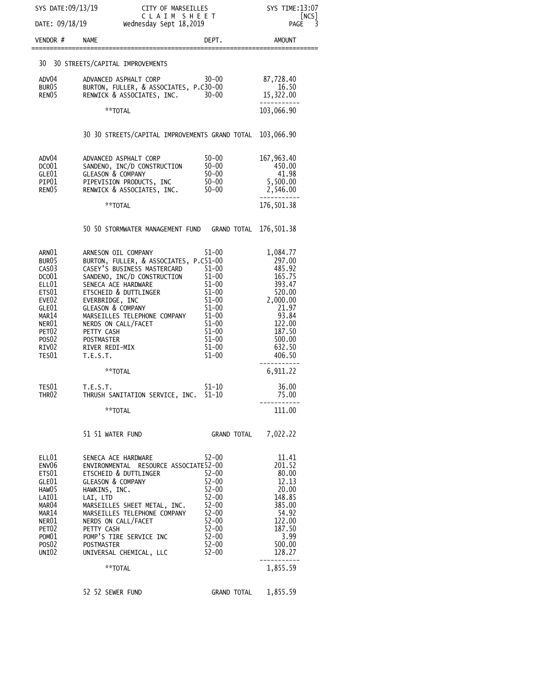| SYS DATE:09/13/19                                                                                                                                                                                              |                                                                                                                                                                                                                                                                                                                                                        | CITY OF MARSEILLES<br>CLAIM SHEET<br>Wednesday Sept 18,2019                                                                                                       |                                                                                                                                            |
|----------------------------------------------------------------------------------------------------------------------------------------------------------------------------------------------------------------|--------------------------------------------------------------------------------------------------------------------------------------------------------------------------------------------------------------------------------------------------------------------------------------------------------------------------------------------------------|-------------------------------------------------------------------------------------------------------------------------------------------------------------------|--------------------------------------------------------------------------------------------------------------------------------------------|
| DATE: 09/18/19                                                                                                                                                                                                 |                                                                                                                                                                                                                                                                                                                                                        |                                                                                                                                                                   |                                                                                                                                            |
| VENDOR#                                                                                                                                                                                                        | <b>NAME</b>                                                                                                                                                                                                                                                                                                                                            | DEPT.                                                                                                                                                             | <b>AMOUNT</b>                                                                                                                              |
|                                                                                                                                                                                                                | 30 30 STREETS/CAPITAL IMPROVEMENTS                                                                                                                                                                                                                                                                                                                     |                                                                                                                                                                   |                                                                                                                                            |
| ADV04<br>BUR05<br>RENO <sub>5</sub>                                                                                                                                                                            | ADVANCED ASPHALT CORP<br>BURTON, FULLER, & ASSOCIATES, P.C30-00<br>RENWICK & ASSOCIATES, INC.                                                                                                                                                                                                                                                          | $30 - 00$<br>$30 - 00$                                                                                                                                            | 87,728.40<br>16.50<br>15,322.00                                                                                                            |
|                                                                                                                                                                                                                | **TOTAL                                                                                                                                                                                                                                                                                                                                                |                                                                                                                                                                   | 103,066.90                                                                                                                                 |
|                                                                                                                                                                                                                | 30 30 STREETS/CAPITAL IMPROVEMENTS GRAND TOTAL                                                                                                                                                                                                                                                                                                         |                                                                                                                                                                   | 103,066.90                                                                                                                                 |
| ADV04<br>DCO <sub>01</sub><br>GLE01<br>PIP01<br>REN <sub>05</sub>                                                                                                                                              | ADVANCED ASPHALT CORP<br>SANDENO, INC/D CONSTRUCTION<br><b>GLEASON &amp; COMPANY</b><br>PIPEVISION PRODUCTS, INC<br>RENWICK & ASSOCIATES, INC.                                                                                                                                                                                                         | 50-00<br>$50 - 00$<br>$50 - 00$<br>$50 - 00$<br>$50 - 00$                                                                                                         | 167, 963.40<br>450.00<br>41.98<br>5,500.00<br>2,546.00                                                                                     |
|                                                                                                                                                                                                                | **TOTAL                                                                                                                                                                                                                                                                                                                                                |                                                                                                                                                                   | 176,501.38                                                                                                                                 |
|                                                                                                                                                                                                                | 50 50 STORMWATER MANAGEMENT FUND GRAND TOTAL                                                                                                                                                                                                                                                                                                           |                                                                                                                                                                   | 176,501.38                                                                                                                                 |
| ARN01<br>BUR <sub>05</sub><br>CAS <sub>03</sub><br>DCO <sub>01</sub><br>ELL01<br>ETS01<br>EVE <sub>02</sub><br>GLE01<br>MAR14<br>NER01<br>PET <sub>02</sub><br>POS <sub>02</sub><br>RIV <sub>02</sub><br>TES01 | ARNESON OIL COMPANY<br>BURTON, FULLER, & ASSOCIATES, P.C51-00<br>CASEY'S BUSINESS MASTERCARD<br>SANDENO, INC/D CONSTRUCTION<br>SENECA ACE HARDWARE<br>ETSCHEID & DUTTLINGER<br>EVERBRIDGE, INC<br><b>GLEASON &amp; COMPANY</b><br>MARSEILLES TELEPHONE COMPANY<br>NERDS ON CALL/FACET<br>PETTY CASH<br><b>POSTMASTER</b><br>RIVER REDI-MIX<br>T.E.S.T. | 51-00<br>$51 - 00$<br>$51 - 00$<br>$51 - 00$<br>$51 - 00$<br>$51 - 00$<br>$51 - 00$<br>$51 - 00$<br>$51 - 00$<br>$51 - 00$<br>$51 - 00$<br>$51 - 00$<br>$51 - 00$ | 1,084.77<br>297.00<br>485.92<br>165.75<br>393.47<br>520.00<br>2,000.00<br>21.97<br>93.84<br>122.00<br>187.50<br>500.00<br>632.50<br>406.50 |
|                                                                                                                                                                                                                | **TOTAL                                                                                                                                                                                                                                                                                                                                                |                                                                                                                                                                   | 6,911.22                                                                                                                                   |
| TES01<br>THR <sub>02</sub>                                                                                                                                                                                     | T.E.S.T.<br>THRUSH SANITATION SERVICE, INC. 51-10                                                                                                                                                                                                                                                                                                      | 51-10                                                                                                                                                             | 36.00<br>75.00                                                                                                                             |
|                                                                                                                                                                                                                | **TOTAL                                                                                                                                                                                                                                                                                                                                                |                                                                                                                                                                   | 111.00                                                                                                                                     |
|                                                                                                                                                                                                                | 51 51 WATER FUND                                                                                                                                                                                                                                                                                                                                       | GRAND TOTAL 7,022.22                                                                                                                                              |                                                                                                                                            |
| ELL01<br>ENV <sub>06</sub><br>ETS01<br>GLE01<br>HAW05<br>LAI01<br>MAR <sub>04</sub><br>MAR14<br>NER01<br>PET <sub>02</sub><br>POM01<br>POSO <sub>2</sub><br>UNIO2                                              | SENECA ACE HARDWARE<br>ENVIRONMENTAL RESOURCE ASSOCIATE52-00<br><b>ETSCHEID &amp; DUTTLINGER</b><br><b>GLEASON &amp; COMPANY</b><br>HAWKINS, INC.<br>LAI, LTD<br>MARSEILLES SHEET METAL, INC.<br>MARSEILLES TELEPHONE COMPANY<br>NERDS ON CALL/FACET<br>PETTY CASH<br>POMP'S TIRE SERVICE INC<br>POSTMASTER<br>UNIVERSAL CHEMICAL, LLC                 | $52 - 00$<br>$52 - 00$<br>$52 - 00$<br>$52 - 00$<br>$52 - 00$<br>52-00<br>$52 - 00$<br>$52 - 00$<br>$52 - 00$<br>52-00<br>52-00<br>$52 - 00$                      | 11.41<br>201.52<br>80.00<br>12.13<br>20.00<br>148.85<br>385.00<br>54.92<br>122.00<br>187.50<br>3.99<br>500.00<br>128.27                    |
|                                                                                                                                                                                                                | **TOTAL                                                                                                                                                                                                                                                                                                                                                |                                                                                                                                                                   | 1,855.59                                                                                                                                   |
|                                                                                                                                                                                                                | 52 52 SEWER FUND                                                                                                                                                                                                                                                                                                                                       | GRAND TOTAL 1,855.59                                                                                                                                              |                                                                                                                                            |